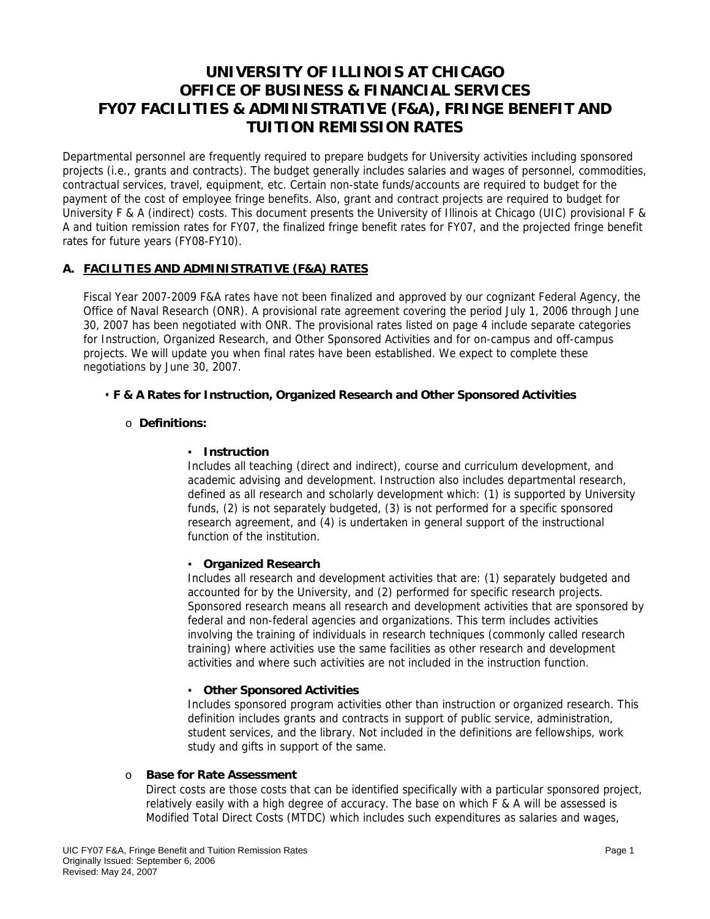# **UNIVERSITY OF ILLINOIS AT CHICAGO OFFICE OF BUSINESS & FINANCIAL SERVICES FY07 FACILITIES & ADMINISTRATIVE (F&A), FRINGE BENEFIT AND TUITION REMISSION RATES**

Departmental personnel are frequently required to prepare budgets for University activities including sponsored projects (i.e., grants and contracts). The budget generally includes salaries and wages of personnel, commodities, contractual services, travel, equipment, etc. Certain non-state funds/accounts are required to budget for the payment of the cost of employee fringe benefits. Also, grant and contract projects are required to budget for University F & A (indirect) costs. This document presents the University of Illinois at Chicago (UIC) provisional F & A and tuition remission rates for FY07, the finalized fringe benefit rates for FY07, and the projected fringe benefit rates for future years (FY08-FY10).

## **A. FACILITIES AND ADMINISTRATIVE (F&A) RATES**

Fiscal Year 2007-2009 F&A rates have not been finalized and approved by our cognizant Federal Agency, the Office of Naval Research (ONR). A provisional rate agreement covering the period July 1, 2006 through June 30, 2007 has been negotiated with ONR. The provisional rates listed on page 4 include separate categories for Instruction, Organized Research, and Other Sponsored Activities and for on-campus and off-campus projects. We will update you when final rates have been established. We expect to complete these negotiations by June 30, 2007.

## • **F & A Rates for Instruction, Organized Research and Other Sponsored Activities**

## o **Definitions:**

## ▪ **Instruction**

Includes all teaching (direct and indirect), course and curriculum development, and academic advising and development. Instruction also includes departmental research, defined as all research and scholarly development which: (1) is supported by University funds, (2) is not separately budgeted, (3) is not performed for a specific sponsored research agreement, and (4) is undertaken in general support of the instructional function of the institution.

## ▪ **Organized Research**

Includes all research and development activities that are: (1) separately budgeted and accounted for by the University, and (2) performed for specific research projects. Sponsored research means all research and development activities that are sponsored by federal and non-federal agencies and organizations. This term includes activities involving the training of individuals in research techniques (commonly called research training) where activities use the same facilities as other research and development activities and where such activities are not included in the instruction function.

## ▪ **Other Sponsored Activities**

Includes sponsored program activities other than instruction or organized research. This definition includes grants and contracts in support of public service, administration, student services, and the library. Not included in the definitions are fellowships, work study and gifts in support of the same.

## o **Base for Rate Assessment**

Direct costs are those costs that can be identified specifically with a particular sponsored project, relatively easily with a high degree of accuracy. The base on which F & A will be assessed is Modified Total Direct Costs (MTDC) which includes such expenditures as salaries and wages,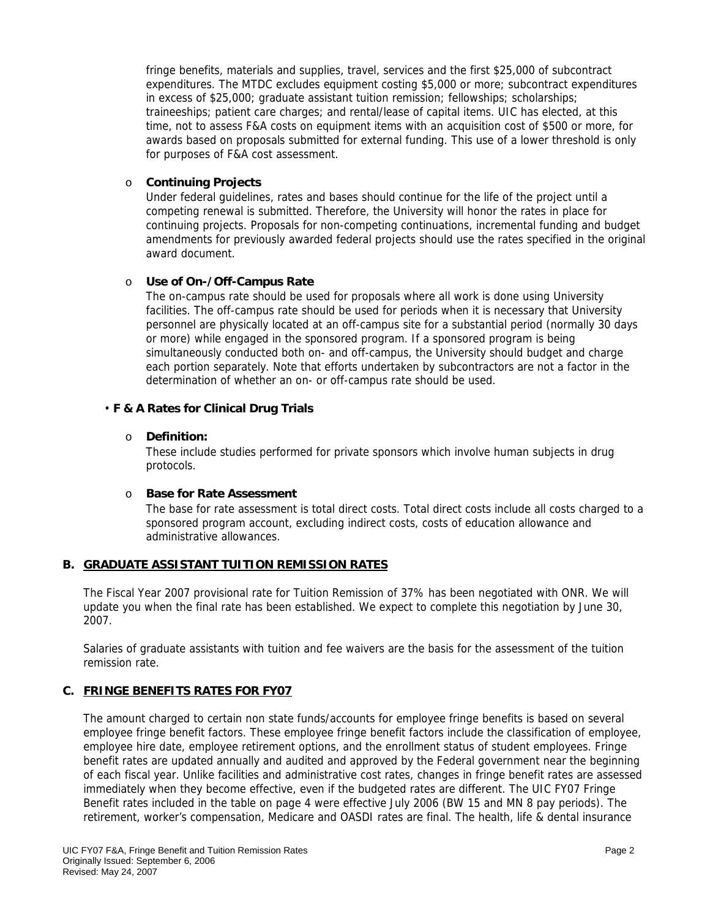fringe benefits, materials and supplies, travel, services and the first \$25,000 of subcontract expenditures. The MTDC excludes equipment costing \$5,000 or more; subcontract expenditures in excess of \$25,000; graduate assistant tuition remission; fellowships; scholarships; traineeships; patient care charges; and rental/lease of capital items. UIC has elected, at this time, not to assess F&A costs on equipment items with an acquisition cost of \$500 or more, for awards based on proposals submitted for external funding. This use of a lower threshold is only for purposes of F&A cost assessment.

#### o **Continuing Projects**

Under federal guidelines, rates and bases should continue for the life of the project until a competing renewal is submitted. Therefore, the University will honor the rates in place for continuing projects. Proposals for non-competing continuations, incremental funding and budget amendments for previously awarded federal projects should use the rates specified in the original award document.

## o **Use of On-/Off-Campus Rate**

The on-campus rate should be used for proposals where all work is done using University facilities. The off-campus rate should be used for periods when it is necessary that University personnel are physically located at an off-campus site for a substantial period (normally 30 days or more) while engaged in the sponsored program. If a sponsored program is being simultaneously conducted both on- and off-campus, the University should budget and charge each portion separately. Note that efforts undertaken by subcontractors are not a factor in the determination of whether an on- or off-campus rate should be used.

#### • **F & A Rates for Clinical Drug Trials**

#### o **Definition:**

These include studies performed for private sponsors which involve human subjects in drug protocols.

#### o **Base for Rate Assessment**

The base for rate assessment is total direct costs. Total direct costs include all costs charged to a sponsored program account, excluding indirect costs, costs of education allowance and administrative allowances.

## **B. GRADUATE ASSISTANT TUITION REMISSION RATES**

The Fiscal Year 2007 provisional rate for Tuition Remission of 37% has been negotiated with ONR. We will update you when the final rate has been established. We expect to complete this negotiation by June 30, 2007.

Salaries of graduate assistants with tuition and fee waivers are the basis for the assessment of the tuition remission rate.

## **C. FRINGE BENEFITS RATES FOR FY07**

The amount charged to certain non state funds/accounts for employee fringe benefits is based on several employee fringe benefit factors. These employee fringe benefit factors include the classification of employee, employee hire date, employee retirement options, and the enrollment status of student employees. Fringe benefit rates are updated annually and audited and approved by the Federal government near the beginning of each fiscal year. Unlike facilities and administrative cost rates, changes in fringe benefit rates are assessed immediately when they become effective, even if the budgeted rates are different. The UIC FY07 Fringe Benefit rates included in the table on page 4 were effective July 2006 (BW 15 and MN 8 pay periods). The retirement, worker's compensation, Medicare and OASDI rates are final. The health, life & dental insurance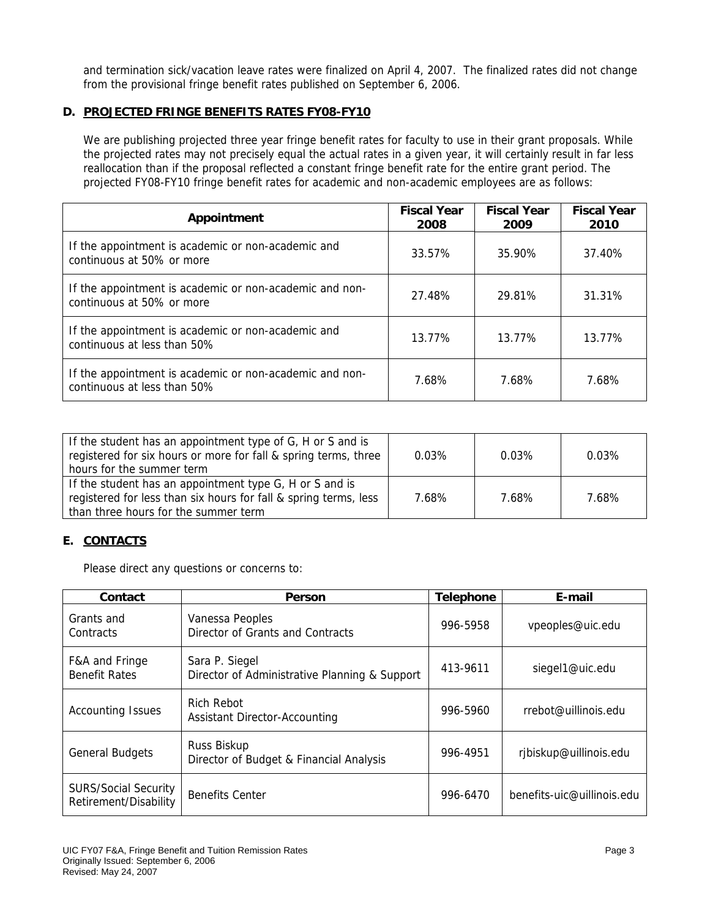and termination sick/vacation leave rates were finalized on April 4, 2007. The finalized rates did not change from the provisional fringe benefit rates published on September 6, 2006.

## **D. PROJECTED FRINGE BENEFITS RATES FY08-FY10**

We are publishing projected three year fringe benefit rates for faculty to use in their grant proposals. While the projected rates may not precisely equal the actual rates in a given year, it will certainly result in far less reallocation than if the proposal reflected a constant fringe benefit rate for the entire grant period. The projected FY08-FY10 fringe benefit rates for academic and non-academic employees are as follows:

| Appointment                                                                            | <b>Fiscal Year</b><br>2008 | <b>Fiscal Year</b><br>2009 | <b>Fiscal Year</b><br>2010 |
|----------------------------------------------------------------------------------------|----------------------------|----------------------------|----------------------------|
| If the appointment is academic or non-academic and<br>continuous at 50% or more        | 33.57%                     | 35.90%                     | 37.40%                     |
| If the appointment is academic or non-academic and non-<br>continuous at 50% or more   | 27.48%                     | 29.81%                     | 31.31%                     |
| If the appointment is academic or non-academic and<br>continuous at less than 50%      | 13.77%                     | 13.77%                     | 13.77%                     |
| If the appointment is academic or non-academic and non-<br>continuous at less than 50% | 7.68%                      | 7.68%                      | 7.68%                      |

| If the student has an appointment type of G, H or S and is<br>registered for six hours or more for fall & spring terms, three<br>hours for the summer term          | $0.03\%$ | 0.03% | $0.03\%$ |
|---------------------------------------------------------------------------------------------------------------------------------------------------------------------|----------|-------|----------|
| If the student has an appointment type G, H or S and is<br>registered for less than six hours for fall & spring terms, less<br>than three hours for the summer term | 7.68%    | 7.68% | 7.68%    |

## **E. CONTACTS**

Please direct any questions or concerns to:

| Contact                                              | Person                                                          | <b>Telephone</b> | E-mail                     |
|------------------------------------------------------|-----------------------------------------------------------------|------------------|----------------------------|
| Grants and<br>Contracts                              | Vanessa Peoples<br><b>Director of Grants and Contracts</b>      | 996-5958         | vpeoples@uic.edu           |
| F&A and Fringe<br><b>Benefit Rates</b>               | Sara P. Siegel<br>Director of Administrative Planning & Support | 413-9611         | siegel1@uic.edu            |
| <b>Accounting Issues</b>                             | Rich Rebot<br><b>Assistant Director-Accounting</b>              | 996-5960         | rrebot@uillinois.edu       |
| <b>General Budgets</b>                               | Russ Biskup<br>Director of Budget & Financial Analysis          | 996-4951         | rjbiskup@uillinois.edu     |
| <b>SURS/Social Security</b><br>Retirement/Disability | <b>Benefits Center</b>                                          | 996-6470         | benefits-uic@uillinois.edu |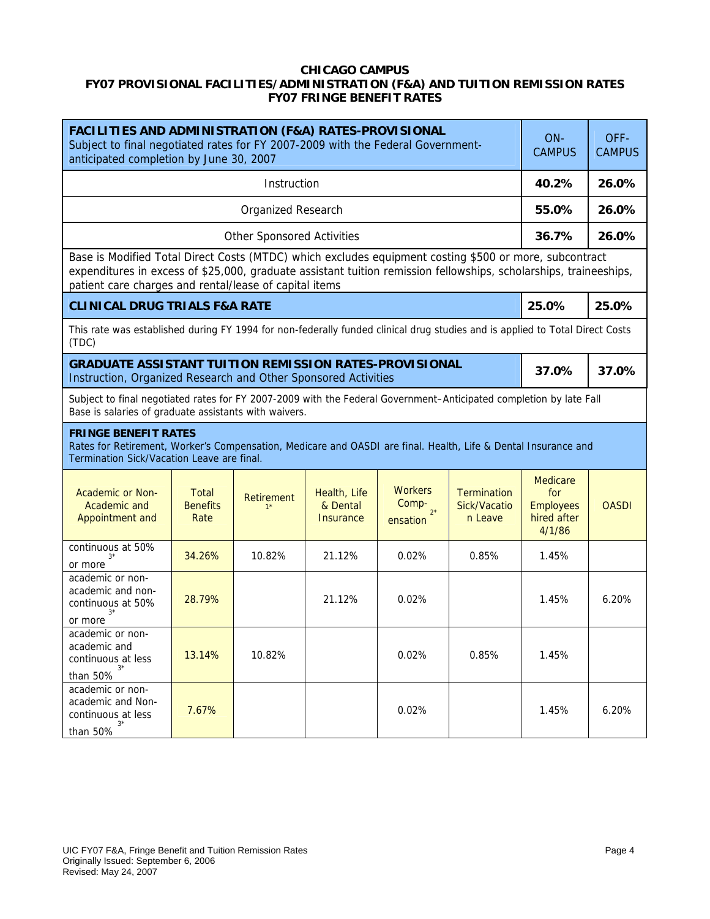## **CHICAGO CAMPUS FY07 PROVISIONAL FACILITIES/ADMINISTRATION (F&A) AND TUITION REMISSION RATES FY07 FRINGE BENEFIT RATES**

| FACILITIES AND ADMINISTRATION (F&A) RATES-PROVISIONAL<br>Subject to final negotiated rates for FY 2007-2009 with the Federal Government-<br>anticipated completion by June 30, 2007         |                                                                                                                                                                                                                                                                                       |                                   |                                              |                                             | ON-<br><b>CAMPUS</b>                          | OFF-<br><b>CAMPUS</b>                                               |              |
|---------------------------------------------------------------------------------------------------------------------------------------------------------------------------------------------|---------------------------------------------------------------------------------------------------------------------------------------------------------------------------------------------------------------------------------------------------------------------------------------|-----------------------------------|----------------------------------------------|---------------------------------------------|-----------------------------------------------|---------------------------------------------------------------------|--------------|
| Instruction                                                                                                                                                                                 |                                                                                                                                                                                                                                                                                       |                                   |                                              |                                             | 40.2%                                         | 26.0%                                                               |              |
|                                                                                                                                                                                             |                                                                                                                                                                                                                                                                                       | <b>Organized Research</b>         |                                              |                                             |                                               | 55.0%                                                               | 26.0%        |
|                                                                                                                                                                                             |                                                                                                                                                                                                                                                                                       | <b>Other Sponsored Activities</b> |                                              |                                             |                                               | 36.7%                                                               | 26.0%        |
|                                                                                                                                                                                             | Base is Modified Total Direct Costs (MTDC) which excludes equipment costing \$500 or more, subcontract<br>expenditures in excess of \$25,000, graduate assistant tuition remission fellowships, scholarships, traineeships,<br>patient care charges and rental/lease of capital items |                                   |                                              |                                             |                                               |                                                                     |              |
| <b>CLINICAL DRUG TRIALS F&amp;A RATE</b>                                                                                                                                                    |                                                                                                                                                                                                                                                                                       |                                   |                                              |                                             |                                               | 25.0%                                                               | 25.0%        |
| This rate was established during FY 1994 for non-federally funded clinical drug studies and is applied to Total Direct Costs<br>(TDC)                                                       |                                                                                                                                                                                                                                                                                       |                                   |                                              |                                             |                                               |                                                                     |              |
| <b>GRADUATE ASSISTANT TUITION REMISSION RATES-PROVISIONAL</b><br>Instruction, Organized Research and Other Sponsored Activities                                                             |                                                                                                                                                                                                                                                                                       |                                   |                                              |                                             | 37.0%                                         | 37.0%                                                               |              |
| Subject to final negotiated rates for FY 2007-2009 with the Federal Government-Anticipated completion by late Fall<br>Base is salaries of graduate assistants with waivers.                 |                                                                                                                                                                                                                                                                                       |                                   |                                              |                                             |                                               |                                                                     |              |
| <b>FRINGE BENEFIT RATES</b><br>Rates for Retirement, Worker's Compensation, Medicare and OASDI are final. Health, Life & Dental Insurance and<br>Termination Sick/Vacation Leave are final. |                                                                                                                                                                                                                                                                                       |                                   |                                              |                                             |                                               |                                                                     |              |
| <b>Academic or Non-</b><br>Academic and<br>Appointment and                                                                                                                                  | <b>Total</b><br><b>Benefits</b><br>Rate                                                                                                                                                                                                                                               | Retirement<br>$1*$                | Health, Life<br>& Dental<br><b>Insurance</b> | <b>Workers</b><br>Comp-<br>$2*$<br>ensation | <b>Termination</b><br>Sick/Vacatio<br>n Leave | <b>Medicare</b><br>for<br><b>Employees</b><br>hired after<br>4/1/86 | <b>OASDI</b> |
| continuous at 50%<br>or more                                                                                                                                                                | 34.26%                                                                                                                                                                                                                                                                                | 10.82%                            | 21.12%                                       | 0.02%                                       | 0.85%                                         | 1.45%                                                               |              |
| academic or non-<br>academic and non-<br>continuous at 50%<br>or more                                                                                                                       | 28.79%                                                                                                                                                                                                                                                                                |                                   | 21.12%                                       | 0.02%                                       |                                               | 1.45%                                                               | 6.20%        |
| academic or non-<br>academic and<br>continuous at less<br>$3^{\star}$<br>than 50%                                                                                                           | 13.14%                                                                                                                                                                                                                                                                                | 10.82%                            |                                              | 0.02%                                       | 0.85%                                         | 1.45%                                                               |              |
| academic or non-<br>academic and Non-<br>continuous at less<br>$3^{\star}$<br>than 50%                                                                                                      | 7.67%                                                                                                                                                                                                                                                                                 |                                   |                                              | 0.02%                                       |                                               | 1.45%                                                               | 6.20%        |